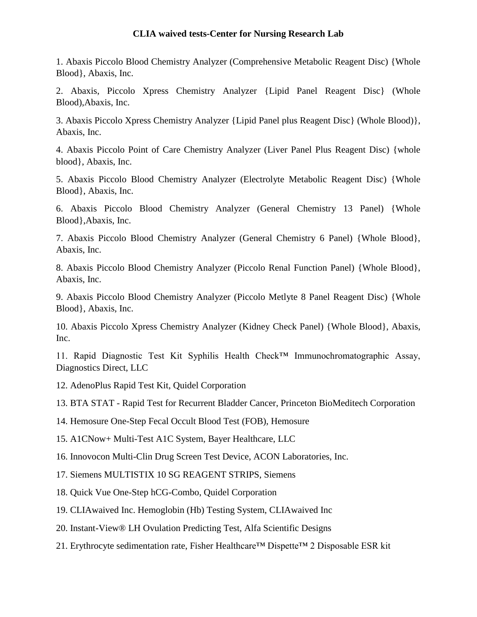## **CLIA waived tests-Center for Nursing Research Lab**

1. Abaxis Piccolo Blood Chemistry Analyzer (Comprehensive Metabolic Reagent Disc) {Whole Blood}, Abaxis, Inc.

2. Abaxis, Piccolo Xpress Chemistry Analyzer {Lipid Panel Reagent Disc} (Whole Blood),Abaxis, Inc.

3. Abaxis Piccolo Xpress Chemistry Analyzer {Lipid Panel plus Reagent Disc} (Whole Blood)}, Abaxis, Inc.

4. Abaxis Piccolo Point of Care Chemistry Analyzer (Liver Panel Plus Reagent Disc) {whole blood}, Abaxis, Inc.

5. Abaxis Piccolo Blood Chemistry Analyzer (Electrolyte Metabolic Reagent Disc) {Whole Blood}, Abaxis, Inc.

6. Abaxis Piccolo Blood Chemistry Analyzer (General Chemistry 13 Panel) {Whole Blood},Abaxis, Inc.

7. Abaxis Piccolo Blood Chemistry Analyzer (General Chemistry 6 Panel) {Whole Blood}, Abaxis, Inc.

8. Abaxis Piccolo Blood Chemistry Analyzer (Piccolo Renal Function Panel) {Whole Blood}, Abaxis, Inc.

9. Abaxis Piccolo Blood Chemistry Analyzer (Piccolo Metlyte 8 Panel Reagent Disc) {Whole Blood}, Abaxis, Inc.

10. Abaxis Piccolo Xpress Chemistry Analyzer (Kidney Check Panel) {Whole Blood}, Abaxis, Inc.

11. Rapid Diagnostic Test Kit Syphilis Health Check™ Immunochromatographic Assay, Diagnostics Direct, LLC

12. AdenoPlus Rapid Test Kit, Quidel Corporation

13. BTA STAT - Rapid Test for Recurrent Bladder Cancer, Princeton BioMeditech Corporation

14. Hemosure One-Step Fecal Occult Blood Test (FOB), Hemosure

15. A1CNow+ Multi-Test A1C System, Bayer Healthcare, LLC

16. Innovocon Multi-Clin Drug Screen Test Device, ACON Laboratories, Inc.

- 17. Siemens MULTISTIX 10 SG REAGENT STRIPS, Siemens
- 18. Quick Vue One-Step hCG-Combo, Quidel Corporation
- 19. CLIAwaived Inc. Hemoglobin (Hb) Testing System, CLIAwaived Inc
- 20. Instant-View® LH Ovulation Predicting Test, Alfa Scientific Designs
- 21. Erythrocyte sedimentation rate, Fisher Healthcare™ Dispette™ 2 Disposable ESR kit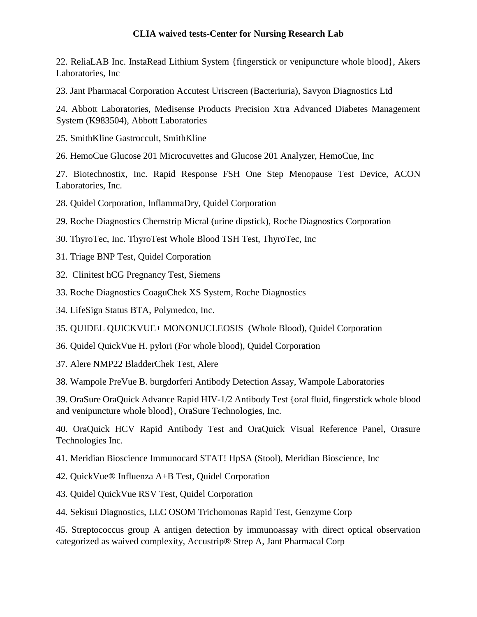## **CLIA waived tests-Center for Nursing Research Lab**

22. ReliaLAB Inc. InstaRead Lithium System {fingerstick or venipuncture whole blood}, Akers Laboratories, Inc

23. Jant Pharmacal Corporation Accutest Uriscreen (Bacteriuria), Savyon Diagnostics Ltd

24. Abbott Laboratories, Medisense Products Precision Xtra Advanced Diabetes Management System (K983504), Abbott Laboratories

25. SmithKline Gastroccult, SmithKline

26. HemoCue Glucose 201 Microcuvettes and Glucose 201 Analyzer, HemoCue, Inc

27. Biotechnostix, Inc. Rapid Response FSH One Step Menopause Test Device, ACON Laboratories, Inc.

28. Quidel Corporation, InflammaDry, Quidel Corporation

29. Roche Diagnostics Chemstrip Micral (urine dipstick), Roche Diagnostics Corporation

- 30. ThyroTec, Inc. ThyroTest Whole Blood TSH Test, ThyroTec, Inc
- 31. Triage BNP Test, Quidel Corporation
- 32. Clinitest hCG Pregnancy Test, Siemens
- 33. Roche Diagnostics CoaguChek XS System, Roche Diagnostics
- 34. LifeSign Status BTA, Polymedco, Inc.
- 35. QUIDEL QUICKVUE+ MONONUCLEOSIS (Whole Blood), Quidel Corporation
- 36. Quidel QuickVue H. pylori (For whole blood), Quidel Corporation
- 37. Alere NMP22 BladderChek Test, Alere

38. Wampole PreVue B. burgdorferi Antibody Detection Assay, Wampole Laboratories

39. OraSure OraQuick Advance Rapid HIV-1/2 Antibody Test {oral fluid, fingerstick whole blood and venipuncture whole blood}, OraSure Technologies, Inc.

40. OraQuick HCV Rapid Antibody Test and OraQuick Visual Reference Panel, Orasure Technologies Inc.

41. Meridian Bioscience Immunocard STAT! HpSA (Stool), Meridian Bioscience, Inc

- 42. QuickVue® Influenza A+B Test, Quidel Corporation
- 43. Quidel QuickVue RSV Test, Quidel Corporation

44. Sekisui Diagnostics, LLC OSOM Trichomonas Rapid Test, Genzyme Corp

45. Streptococcus group A antigen detection by immunoassay with direct optical observation categorized as waived complexity, Accustrip® Strep A, Jant Pharmacal Corp